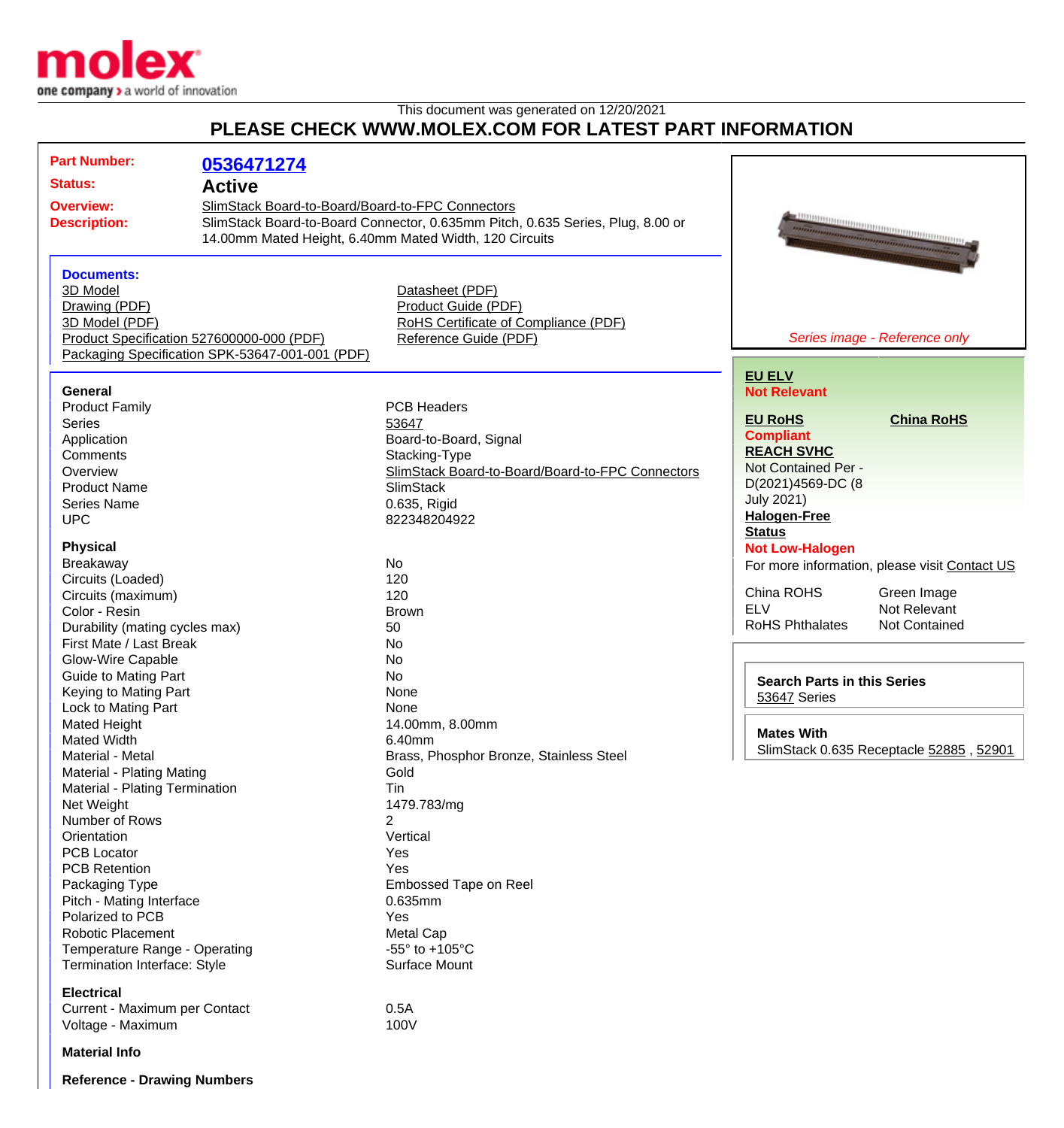

## This document was generated on 12/20/2021 **PLEASE CHECK WWW.MOLEX.COM FOR LATEST PART INFORMATION**

| <b>Part Number:</b>                             | 0536471274                                                                                                                         |                                                  |                                    |                                               |
|-------------------------------------------------|------------------------------------------------------------------------------------------------------------------------------------|--------------------------------------------------|------------------------------------|-----------------------------------------------|
| <b>Status:</b>                                  | <b>Active</b>                                                                                                                      |                                                  |                                    |                                               |
|                                                 |                                                                                                                                    |                                                  |                                    |                                               |
| <b>Overview:</b>                                | SlimStack Board-to-Board/Board-to-FPC Connectors<br>SlimStack Board-to-Board Connector, 0.635mm Pitch, 0.635 Series, Plug, 8.00 or |                                                  |                                    |                                               |
| <b>Description:</b>                             | 14.00mm Mated Height, 6.40mm Mated Width, 120 Circuits                                                                             |                                                  |                                    |                                               |
|                                                 |                                                                                                                                    |                                                  |                                    |                                               |
|                                                 |                                                                                                                                    |                                                  |                                    |                                               |
| <b>Documents:</b><br>3D Model                   |                                                                                                                                    |                                                  |                                    |                                               |
|                                                 |                                                                                                                                    | Datasheet (PDF)<br>Product Guide (PDF)           |                                    |                                               |
| Drawing (PDF)<br>3D Model (PDF)                 |                                                                                                                                    | RoHS Certificate of Compliance (PDF)             |                                    |                                               |
| Product Specification 527600000-000 (PDF)       |                                                                                                                                    | Reference Guide (PDF)                            |                                    | Series image - Reference only                 |
| Packaging Specification SPK-53647-001-001 (PDF) |                                                                                                                                    |                                                  |                                    |                                               |
|                                                 |                                                                                                                                    |                                                  |                                    |                                               |
|                                                 |                                                                                                                                    |                                                  | <b>EU ELV</b>                      |                                               |
| General                                         |                                                                                                                                    |                                                  | <b>Not Relevant</b>                |                                               |
| <b>Product Family</b>                           |                                                                                                                                    | <b>PCB Headers</b>                               |                                    |                                               |
| <b>Series</b>                                   |                                                                                                                                    | 53647                                            | <b>EU RoHS</b>                     | <b>China RoHS</b>                             |
| Application                                     |                                                                                                                                    | Board-to-Board, Signal                           | <b>Compliant</b>                   |                                               |
| Comments                                        |                                                                                                                                    | Stacking-Type                                    | <b>REACH SVHC</b>                  |                                               |
| Overview                                        |                                                                                                                                    | SlimStack Board-to-Board/Board-to-FPC Connectors | Not Contained Per -                |                                               |
| <b>Product Name</b>                             |                                                                                                                                    | <b>SlimStack</b>                                 | D(2021)4569-DC (8                  |                                               |
| Series Name                                     |                                                                                                                                    | 0.635, Rigid                                     | <b>July 2021)</b>                  |                                               |
| <b>UPC</b>                                      |                                                                                                                                    | 822348204922                                     | <b>Halogen-Free</b>                |                                               |
|                                                 |                                                                                                                                    |                                                  | <b>Status</b>                      |                                               |
| <b>Physical</b>                                 |                                                                                                                                    | No                                               | <b>Not Low-Halogen</b>             |                                               |
| Breakaway<br>Circuits (Loaded)                  |                                                                                                                                    | 120                                              |                                    | For more information, please visit Contact US |
| Circuits (maximum)                              |                                                                                                                                    | 120                                              | China ROHS                         | Green Image                                   |
| Color - Resin                                   |                                                                                                                                    | <b>Brown</b>                                     | <b>ELV</b>                         | Not Relevant                                  |
| Durability (mating cycles max)                  |                                                                                                                                    | 50                                               | <b>RoHS Phthalates</b>             | <b>Not Contained</b>                          |
| First Mate / Last Break                         |                                                                                                                                    | No                                               |                                    |                                               |
| Glow-Wire Capable                               |                                                                                                                                    | No                                               |                                    |                                               |
| <b>Guide to Mating Part</b>                     |                                                                                                                                    | No                                               |                                    |                                               |
| Keying to Mating Part                           |                                                                                                                                    | None                                             | <b>Search Parts in this Series</b> |                                               |
| Lock to Mating Part                             |                                                                                                                                    | None                                             | 53647 Series                       |                                               |
| Mated Height                                    |                                                                                                                                    | 14.00mm, 8.00mm                                  |                                    |                                               |
| <b>Mated Width</b>                              |                                                                                                                                    | 6.40mm                                           | <b>Mates With</b>                  |                                               |
| Material - Metal                                |                                                                                                                                    | Brass, Phosphor Bronze, Stainless Steel          |                                    | SlimStack 0.635 Receptacle 52885, 52901       |
| Material - Plating Mating                       |                                                                                                                                    | Gold                                             |                                    |                                               |
| Material - Plating Termination                  |                                                                                                                                    | Tin                                              |                                    |                                               |
| Net Weight                                      |                                                                                                                                    | 1479.783/mg                                      |                                    |                                               |
| Number of Rows                                  |                                                                                                                                    | $\overline{2}$                                   |                                    |                                               |
| Orientation                                     |                                                                                                                                    | Vertical                                         |                                    |                                               |
| <b>PCB Locator</b>                              |                                                                                                                                    | Yes                                              |                                    |                                               |
| <b>PCB Retention</b>                            |                                                                                                                                    | Yes                                              |                                    |                                               |
| Packaging Type                                  |                                                                                                                                    | Embossed Tape on Reel                            |                                    |                                               |
| Pitch - Mating Interface                        |                                                                                                                                    | 0.635mm                                          |                                    |                                               |
| Polarized to PCB                                |                                                                                                                                    | Yes                                              |                                    |                                               |
| <b>Robotic Placement</b>                        |                                                                                                                                    | <b>Metal Cap</b>                                 |                                    |                                               |
| Temperature Range - Operating                   |                                                                                                                                    | -55 $\degree$ to +105 $\degree$ C                |                                    |                                               |
| Termination Interface: Style                    |                                                                                                                                    | Surface Mount                                    |                                    |                                               |
| <b>Electrical</b>                               |                                                                                                                                    |                                                  |                                    |                                               |
| Current - Maximum per Contact                   |                                                                                                                                    | 0.5A                                             |                                    |                                               |
| Voltage - Maximum                               |                                                                                                                                    | 100V                                             |                                    |                                               |
| <b>Material Info</b>                            |                                                                                                                                    |                                                  |                                    |                                               |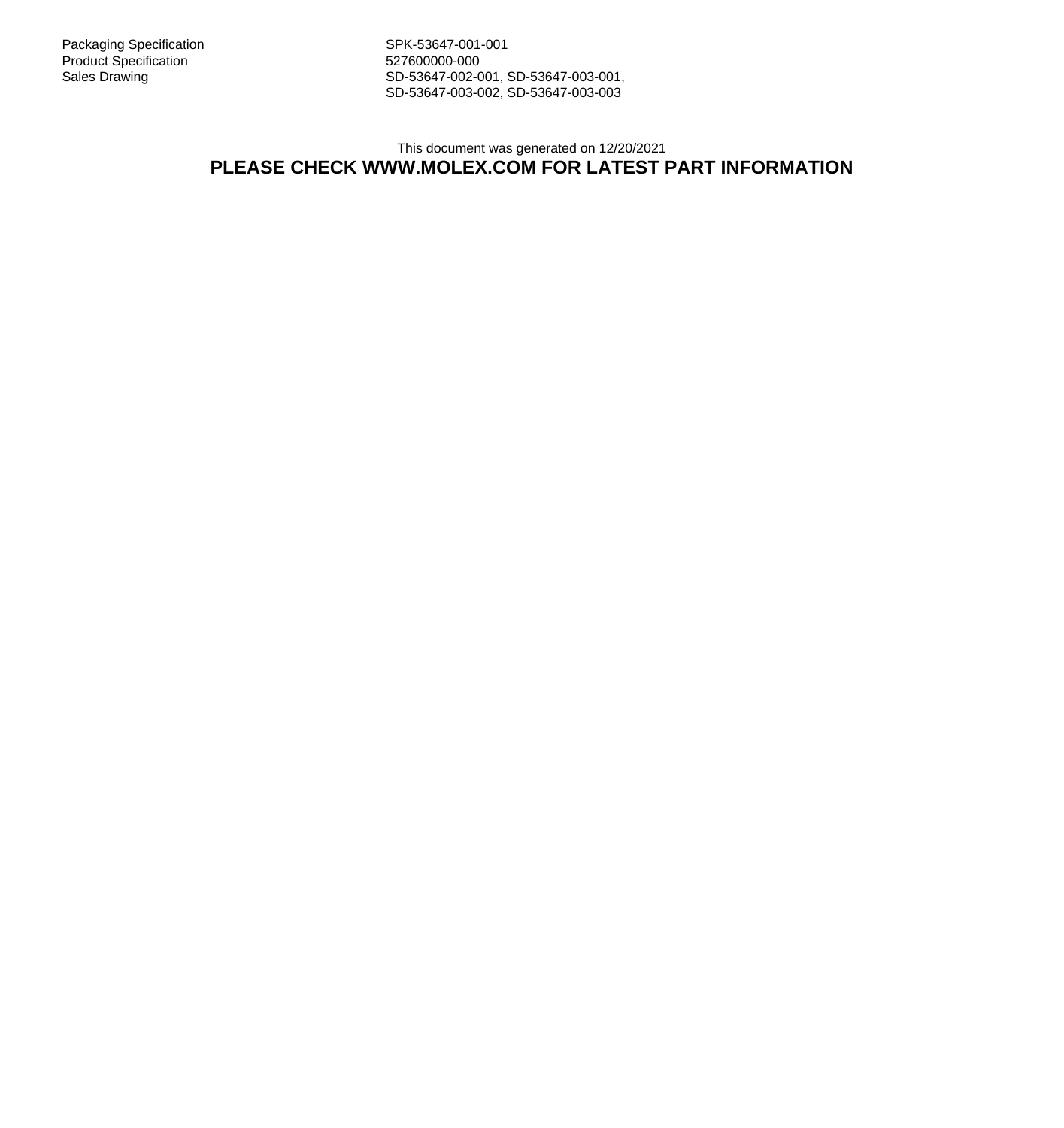Packaging Specification Network SPK-53647-001-001 Product Specification 627600000-000

Sales Drawing Sales Drawing SD-53647-002-001, SD-53647-003-001, SD-53647-003-002, SD-53647-003-003

## This document was generated on 12/20/2021 **PLEASE CHECK WWW.MOLEX.COM FOR LATEST PART INFORMATION**